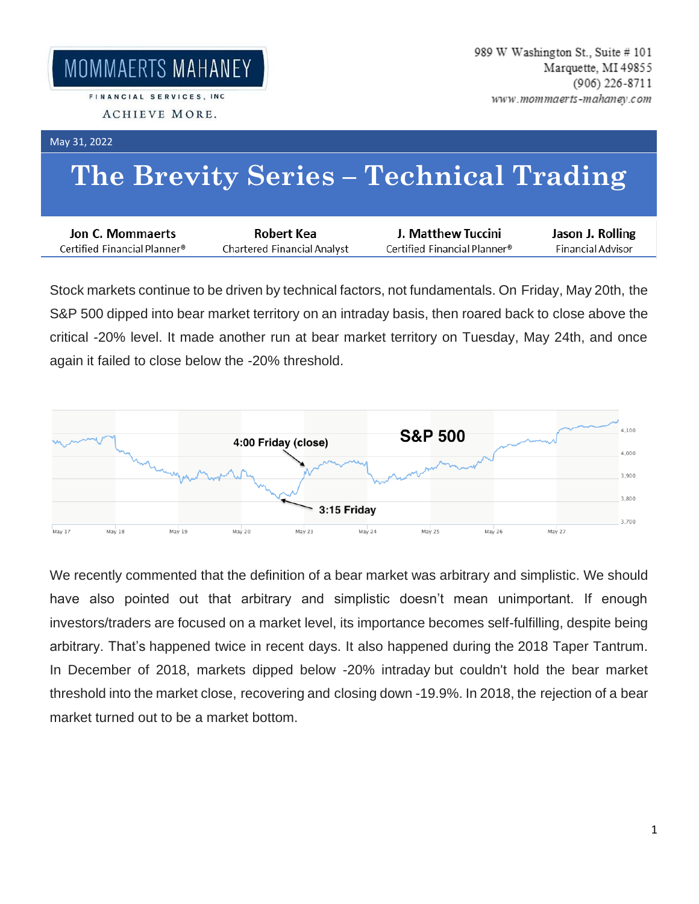## May 31, 2022

## **The Brevity Series – Technical Trading**

| Jon C. Mommaerts             | Robert Kea                  | J. Matthew Tuccini           | Jason J. Rolling  |
|------------------------------|-----------------------------|------------------------------|-------------------|
| Certified Financial Planner® | Chartered Financial Analyst | Certified Financial Planner® | Financial Advisor |

Stock markets continue to be driven by technical factors, not fundamentals. On Friday, May 20th, the S&P 500 dipped into bear market territory on an intraday basis, then roared back to close above the critical -20% level. It made another run at bear market territory on Tuesday, May 24th, and once again it failed to close below the -20% threshold.



We recently commented that the definition of a bear market was arbitrary and simplistic. We should have also pointed out that arbitrary and simplistic doesn't mean unimportant. If enough investors/traders are focused on a market level, its importance becomes self-fulfilling, despite being arbitrary. That's happened twice in recent days. It also happened during the 2018 Taper Tantrum. In December of 2018, markets dipped below -20% intraday but couldn't hold the bear market threshold into the market close, recovering and closing down -19.9%. In 2018, the rejection of a bear market turned out to be a market bottom.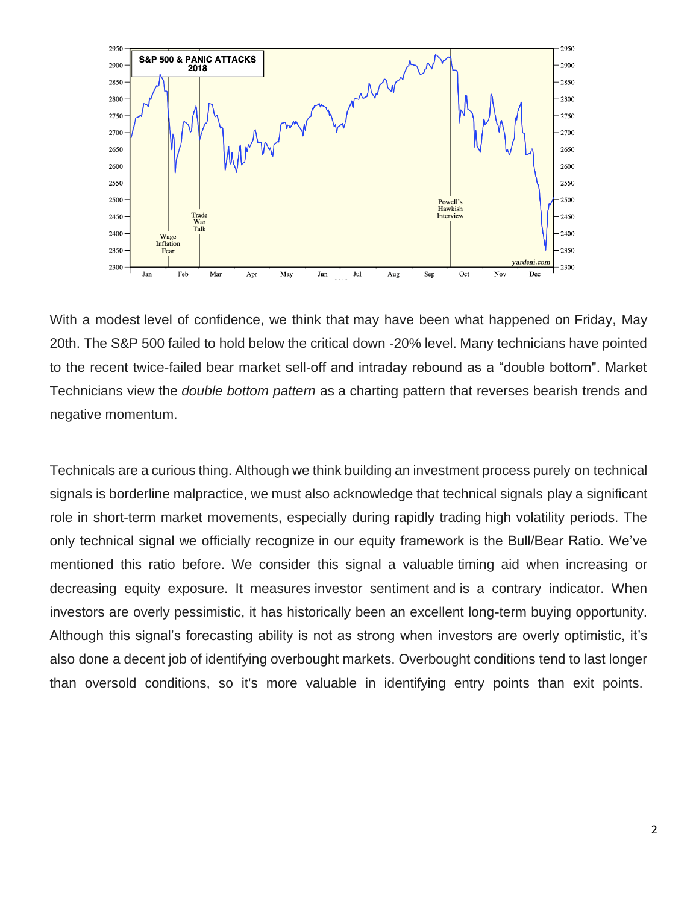

With a modest level of confidence, we think that may have been what happened on Friday, May 20th. The S&P 500 failed to hold below the critical down -20% level. Many technicians have pointed to the recent twice-failed bear market sell-off and intraday rebound as a "double bottom". Market Technicians view the *double bottom pattern* as a charting pattern that reverses bearish trends and negative momentum.

Technicals are a curious thing. Although we think building an investment process purely on technical signals is borderline malpractice, we must also acknowledge that technical signals play a significant role in short-term market movements, especially during rapidly trading high volatility periods. The only technical signal we officially recognize in our equity framework is the Bull/Bear Ratio. We've mentioned this ratio before. We consider this signal a valuable timing aid when increasing or decreasing equity exposure. It measures investor sentiment and is a contrary indicator. When investors are overly pessimistic, it has historically been an excellent long-term buying opportunity. Although this signal's forecasting ability is not as strong when investors are overly optimistic, it's also done a decent job of identifying overbought markets. Overbought conditions tend to last longer than oversold conditions, so it's more valuable in identifying entry points than exit points.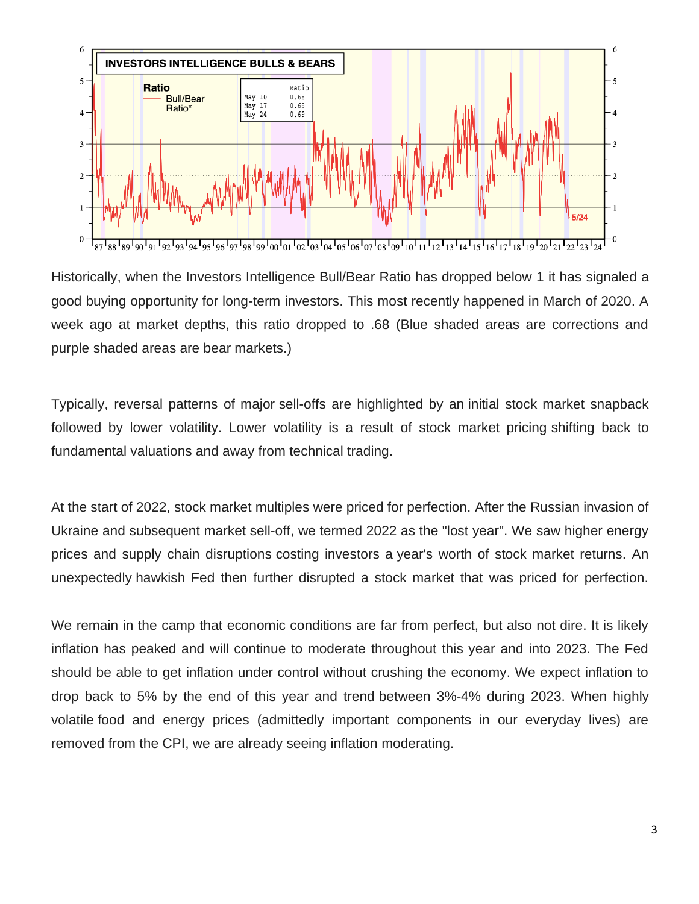

Historically, when the Investors Intelligence Bull/Bear Ratio has dropped below 1 it has signaled a good buying opportunity for long-term investors. This most recently happened in March of 2020. A week ago at market depths, this ratio dropped to .68 (Blue shaded areas are corrections and purple shaded areas are bear markets.)

Typically, reversal patterns of major sell-offs are highlighted by an initial stock market snapback followed by lower volatility. Lower volatility is a result of stock market pricing shifting back to fundamental valuations and away from technical trading.

At the start of 2022, stock market multiples were priced for perfection. After the Russian invasion of Ukraine and subsequent market sell-off, we termed 2022 as the "lost year". We saw higher energy prices and supply chain disruptions costing investors a year's worth of stock market returns. An unexpectedly hawkish Fed then further disrupted a stock market that was priced for perfection.

We remain in the camp that economic conditions are far from perfect, but also not dire. It is likely inflation has peaked and will continue to moderate throughout this year and into 2023. The Fed should be able to get inflation under control without crushing the economy. We expect inflation to drop back to 5% by the end of this year and trend between 3%-4% during 2023. When highly volatile food and energy prices (admittedly important components in our everyday lives) are removed from the CPI, we are already seeing inflation moderating.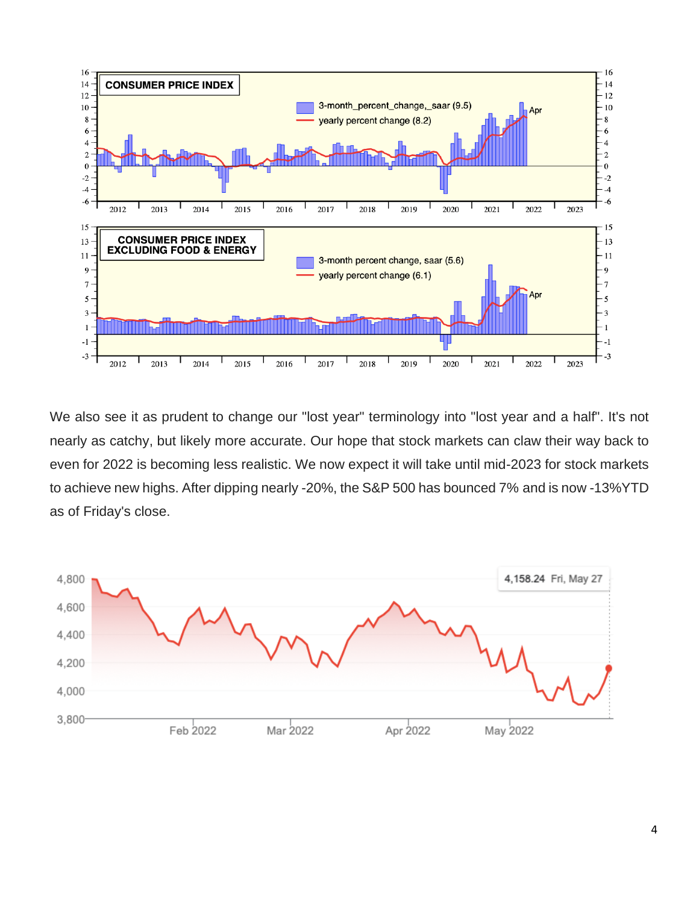

We also see it as prudent to change our "lost year" terminology into "lost year and a half". It's not nearly as catchy, but likely more accurate. Our hope that stock markets can claw their way back to even for 2022 is becoming less realistic. We now expect it will take until mid-2023 for stock markets to achieve new highs. After dipping nearly -20%, the S&P 500 has bounced 7% and is now -13%YTD as of Friday's close.

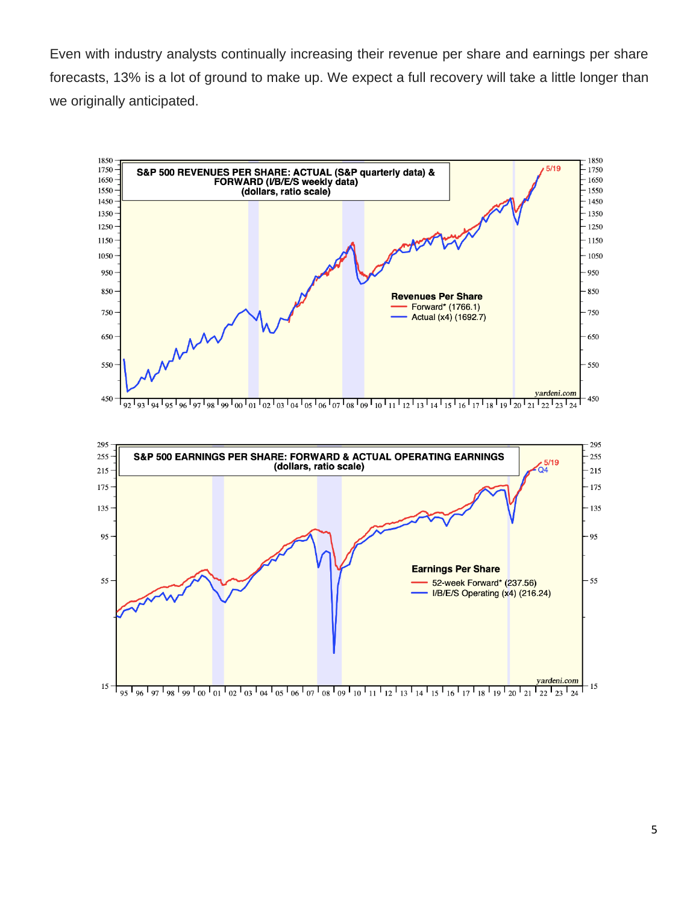Even with industry analysts continually increasing their revenue per share and earnings per share forecasts, 13% is a lot of ground to make up. We expect a full recovery will take a little longer than we originally anticipated.